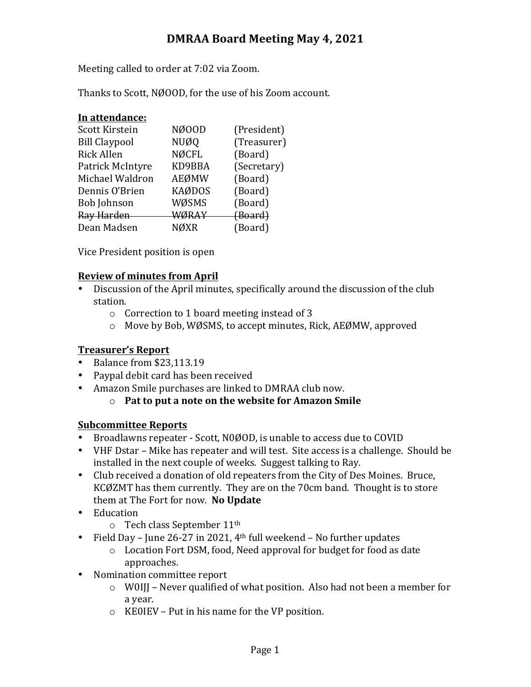# **DMRAA Board Meeting May 4, 2021**

Meeting called to order at 7:02 via Zoom.

Thanks to Scott, NØOOD, for the use of his Zoom account.

| In attendance:       |               |             |
|----------------------|---------------|-------------|
| Scott Kirstein       | NØ00D         | (President) |
| <b>Bill Claypool</b> | NUØQ          | (Treasurer) |
| <b>Rick Allen</b>    | <b>NØCFL</b>  | (Board)     |
| Patrick McIntyre     | KD9BBA        | (Secretary) |
| Michael Waldron      | AEØMW         | (Board)     |
| Dennis O'Brien       | <b>KAØDOS</b> | (Board)     |
| <b>Bob Johnson</b>   | WØSMS         | (Board)     |
| Ray Harden           | WØRAY         | (Board)     |
| Dean Madsen          | NØXR          | (Board)     |
|                      |               |             |

Vice President position is open

#### **Review of minutes from April**

- Discussion of the April minutes, specifically around the discussion of the club station.
	- $\circ$  Correction to 1 board meeting instead of 3
	- $\circ$  Move by Bob, WØSMS, to accept minutes, Rick, AEØMW, approved

# **Treasurer's Report**

- Balance from \$23,113.19
- Paypal debit card has been received
- Amazon Smile purchases are linked to DMRAA club now.
	- o **Pat to put a note on the website for Amazon Smile**

# **Subcommittee Reports**

- Broadlawns repeater Scott, N0ØOD, is unable to access due to COVID
- VHF Dstar Mike has repeater and will test. Site access is a challenge. Should be installed in the next couple of weeks. Suggest talking to Ray.
- Club received a donation of old repeaters from the City of Des Moines. Bruce, KCØZMT has them currently. They are on the 70cm band. Thought is to store them at The Fort for now. No Update
- Education
	- $\circ$  Tech class September 11<sup>th</sup>
- Field Day June 26-27 in 2021,  $4<sup>th</sup>$  full weekend No further updates
	- $\circ$  Location Fort DSM, food, Need approval for budget for food as date approaches.
- Nomination committee report
	- $\circ$  W0III Never qualified of what position. Also had not been a member for a year.
	- $\circ$  KE0IEV Put in his name for the VP position.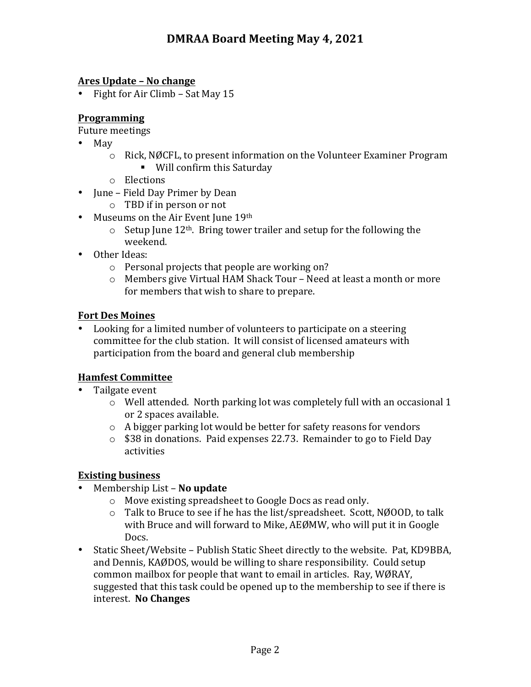#### **Ares Update – No change**

• Fight for Air Climb – Sat May 15

### **Programming**

Future meetings

- May
	- $\circ$  Rick, NØCFL, to present information on the Volunteer Examiner Program ■ Will confirm this Saturday
	- o Elections
- June Field Day Primer by Dean
	- $\circ$  TBD if in person or not
- Museums on the Air Event June 19th
	- $\circ$  Setup June 12<sup>th</sup>. Bring tower trailer and setup for the following the weekend.
- Other Ideas:
	- $\circ$  Personal projects that people are working on?
	- $\circ$  Members give Virtual HAM Shack Tour Need at least a month or more for members that wish to share to prepare.

#### **Fort Des Moines**

Looking for a limited number of volunteers to participate on a steering committee for the club station. It will consist of licensed amateurs with participation from the board and general club membership

# **Hamfest Committee**

- Tailgate event
	- $\circ$  Well attended. North parking lot was completely full with an occasional 1 or 2 spaces available.
	- $\circ$  A bigger parking lot would be better for safety reasons for vendors
	- $\circ$  \$38 in donations. Paid expenses 22.73. Remainder to go to Field Day activities

# **Existing business**

- Membership List **No update** 
	- $\circ$  Move existing spreadsheet to Google Docs as read only.
	- $\circ$  Talk to Bruce to see if he has the list/spreadsheet. Scott, NØOOD, to talk with Bruce and will forward to Mike, AEØMW, who will put it in Google Docs.
- Static Sheet/Website Publish Static Sheet directly to the website. Pat, KD9BBA, and Dennis, KAØDOS, would be willing to share responsibility. Could setup common mailbox for people that want to email in articles. Ray, WØRAY, suggested that this task could be opened up to the membership to see if there is interest. **No Changes**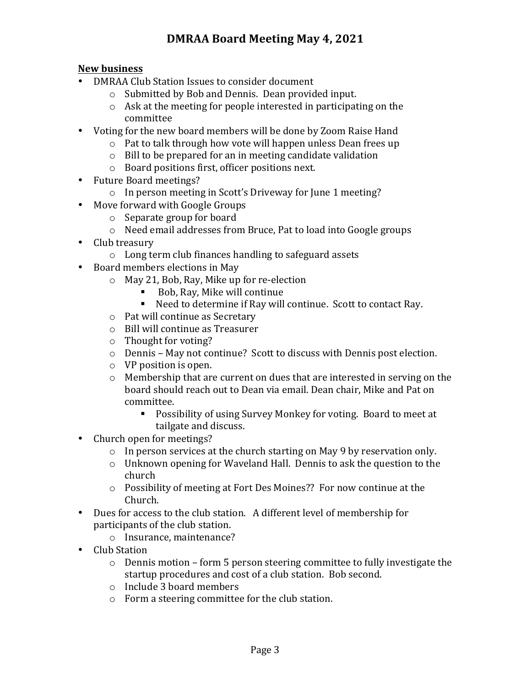# **New business**

- DMRAA Club Station Issues to consider document
	- o Submitted by Bob and Dennis. Dean provided input.
		- $\circ$  Ask at the meeting for people interested in participating on the committee
- Voting for the new board members will be done by Zoom Raise Hand
	- $\circ$  Pat to talk through how vote will happen unless Dean frees up
	- $\circ$  Bill to be prepared for an in meeting candidate validation
	- $\circ$  Board positions first, officer positions next.
- Future Board meetings?
	- $\circ$  In person meeting in Scott's Driveway for June 1 meeting?
- Move forward with Google Groups
	- $\circ$  Separate group for board
	- $\circ$  Need email addresses from Bruce, Pat to load into Google groups
- Club treasury
	- $\circ$  Long term club finances handling to safeguard assets
- Board members elections in May
	- $\circ$  May 21, Bob, Ray, Mike up for re-election
		- Bob, Ray, Mike will continue
		- Need to determine if Ray will continue. Scott to contact Ray.
	- $\circ$  Pat will continue as Secretary
	- o Bill will continue as Treasurer
	- $\circ$  Thought for voting?
	- $\circ$  Dennis May not continue? Scott to discuss with Dennis post election.
	- $\circ$  VP position is open.
	- $\circ$  Membership that are current on dues that are interested in serving on the board should reach out to Dean via email. Dean chair, Mike and Pat on committee.
		- Possibility of using Survey Monkey for voting. Board to meet at tailgate and discuss.
- Church open for meetings?
	- $\circ$  In person services at the church starting on May 9 by reservation only.
	- $\circ$  Unknown opening for Waveland Hall. Dennis to ask the question to the church
	- $\circ$  Possibility of meeting at Fort Des Moines?? For now continue at the Church.
- Dues for access to the club station. A different level of membership for participants of the club station.
	- o Insurance, maintenance?
- Club Station
	- $\circ$  Dennis motion form 5 person steering committee to fully investigate the startup procedures and cost of a club station. Bob second.
	- $\circ$  Include 3 board members
	- $\circ$  Form a steering committee for the club station.